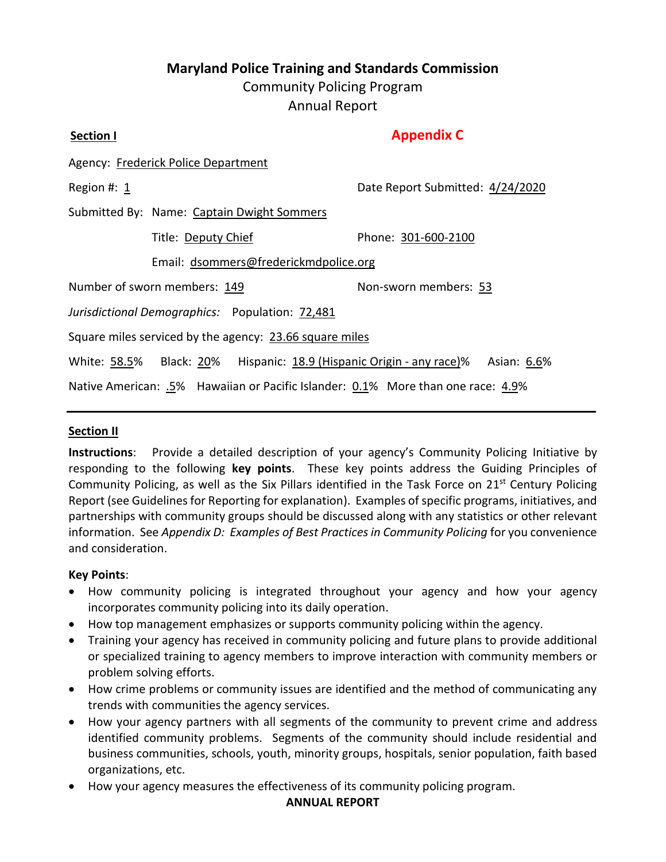## **Maryland Police Training and Standards Commission**

Community Policing Program

Annual Report

| <b>Section I</b>                                                                 | <b>Appendix C</b>                |
|----------------------------------------------------------------------------------|----------------------------------|
| Agency: Frederick Police Department                                              |                                  |
| Region #: 1                                                                      | Date Report Submitted: 4/24/2020 |
| Submitted By: Name: Captain Dwight Sommers                                       |                                  |
| Title: Deputy Chief                                                              | Phone: 301-600-2100              |
| Email: dsommers@frederickmdpolice.org                                            |                                  |
| Number of sworn members: 149                                                     | Non-sworn members: 53            |
| Jurisdictional Demographics: Population: 72,481                                  |                                  |
| Square miles serviced by the agency: 23.66 square miles                          |                                  |
| White: 58.5% Black: 20% Hispanic: 18.9 (Hispanic Origin - any race)% Asian: 6.6% |                                  |
| Native American: .5% Hawaiian or Pacific Islander: 0.1% More than one race: 4.9% |                                  |
|                                                                                  |                                  |

#### **Section II**

**Instructions**: Provide a detailed description of your agency's Community Policing Initiative by responding to the following **key points**. These key points address the Guiding Principles of Community Policing, as well as the Six Pillars identified in the Task Force on 21<sup>st</sup> Century Policing Report (see Guidelines for Reporting for explanation). Examples of specific programs, initiatives, and partnerships with community groups should be discussed along with any statistics or other relevant information. See *Appendix D: Examples of Best Practices in Community Policing* for you convenience and consideration.

#### **Key Points**:

- How community policing is integrated throughout your agency and how your agency incorporates community policing into its daily operation.
- How top management emphasizes or supports community policing within the agency.
- Training your agency has received in community policing and future plans to provide additional or specialized training to agency members to improve interaction with community members or problem solving efforts.
- How crime problems or community issues are identified and the method of communicating any trends with communities the agency services.
- How your agency partners with all segments of the community to prevent crime and address identified community problems. Segments of the community should include residential and business communities, schools, youth, minority groups, hospitals, senior population, faith based organizations, etc.
- How your agency measures the effectiveness of its community policing program.

#### **ANNUAL REPORT**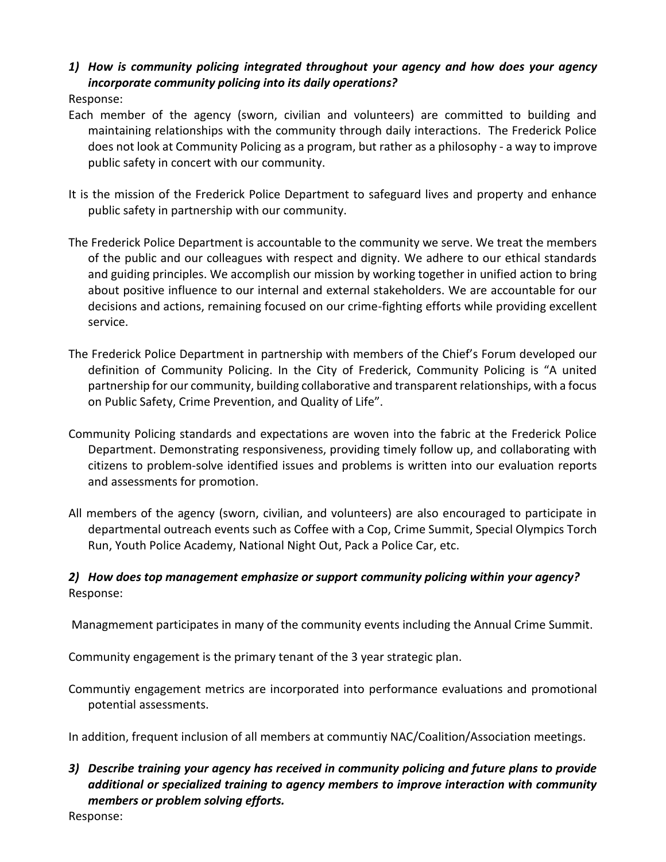# *1) How is community policing integrated throughout your agency and how does your agency incorporate community policing into its daily operations?*

Response:

- Each member of the agency (sworn, civilian and volunteers) are committed to building and maintaining relationships with the community through daily interactions. The Frederick Police does not look at Community Policing as a program, but rather as a philosophy - a way to improve public safety in concert with our community.
- It is the mission of the Frederick Police Department to safeguard lives and property and enhance public safety in partnership with our community.
- The Frederick Police Department is accountable to the community we serve. We treat the members of the public and our colleagues with respect and dignity. We adhere to our ethical standards and guiding principles. We accomplish our mission by working together in unified action to bring about positive influence to our internal and external stakeholders. We are accountable for our decisions and actions, remaining focused on our crime-fighting efforts while providing excellent service.
- The Frederick Police Department in partnership with members of the Chief's Forum developed our definition of Community Policing. In the City of Frederick, Community Policing is "A united partnership for our community, building collaborative and transparent relationships, with a focus on Public Safety, Crime Prevention, and Quality of Life".
- Community Policing standards and expectations are woven into the fabric at the Frederick Police Department. Demonstrating responsiveness, providing timely follow up, and collaborating with citizens to problem-solve identified issues and problems is written into our evaluation reports and assessments for promotion.
- All members of the agency (sworn, civilian, and volunteers) are also encouraged to participate in departmental outreach events such as Coffee with a Cop, Crime Summit, Special Olympics Torch Run, Youth Police Academy, National Night Out, Pack a Police Car, etc.

## *2) How does top management emphasize or support community policing within your agency?* Response:

Managmement participates in many of the community events including the Annual Crime Summit.

Community engagement is the primary tenant of the 3 year strategic plan.

Communtiy engagement metrics are incorporated into performance evaluations and promotional potential assessments.

In addition, frequent inclusion of all members at communtiy NAC/Coalition/Association meetings.

# *3) Describe training your agency has received in community policing and future plans to provide additional or specialized training to agency members to improve interaction with community members or problem solving efforts.*

Response: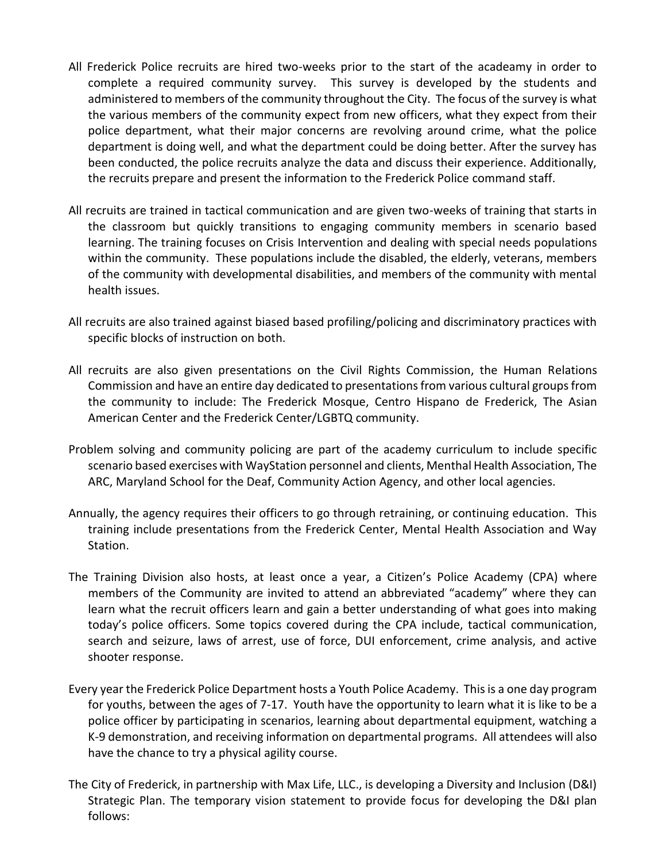- All Frederick Police recruits are hired two-weeks prior to the start of the acadeamy in order to complete a required community survey. This survey is developed by the students and administered to members of the community throughout the City. The focus of the survey is what the various members of the community expect from new officers, what they expect from their police department, what their major concerns are revolving around crime, what the police department is doing well, and what the department could be doing better. After the survey has been conducted, the police recruits analyze the data and discuss their experience. Additionally, the recruits prepare and present the information to the Frederick Police command staff.
- All recruits are trained in tactical communication and are given two-weeks of training that starts in the classroom but quickly transitions to engaging community members in scenario based learning. The training focuses on Crisis Intervention and dealing with special needs populations within the community. These populations include the disabled, the elderly, veterans, members of the community with developmental disabilities, and members of the community with mental health issues.
- All recruits are also trained against biased based profiling/policing and discriminatory practices with specific blocks of instruction on both.
- All recruits are also given presentations on the Civil Rights Commission, the Human Relations Commission and have an entire day dedicated to presentations from various cultural groups from the community to include: The Frederick Mosque, Centro Hispano de Frederick, The Asian American Center and the Frederick Center/LGBTQ community.
- Problem solving and community policing are part of the academy curriculum to include specific scenario based exercises with WayStation personnel and clients, Menthal Health Association, The ARC, Maryland School for the Deaf, Community Action Agency, and other local agencies.
- Annually, the agency requires their officers to go through retraining, or continuing education. This training include presentations from the Frederick Center, Mental Health Association and Way Station.
- The Training Division also hosts, at least once a year, a Citizen's Police Academy (CPA) where members of the Community are invited to attend an abbreviated "academy" where they can learn what the recruit officers learn and gain a better understanding of what goes into making today's police officers. Some topics covered during the CPA include, tactical communication, search and seizure, laws of arrest, use of force, DUI enforcement, crime analysis, and active shooter response.
- Every year the Frederick Police Department hosts a Youth Police Academy. This is a one day program for youths, between the ages of 7-17. Youth have the opportunity to learn what it is like to be a police officer by participating in scenarios, learning about departmental equipment, watching a K-9 demonstration, and receiving information on departmental programs. All attendees will also have the chance to try a physical agility course.
- The City of Frederick, in partnership with Max Life, LLC., is developing a Diversity and Inclusion (D&I) Strategic Plan. The temporary vision statement to provide focus for developing the D&I plan follows: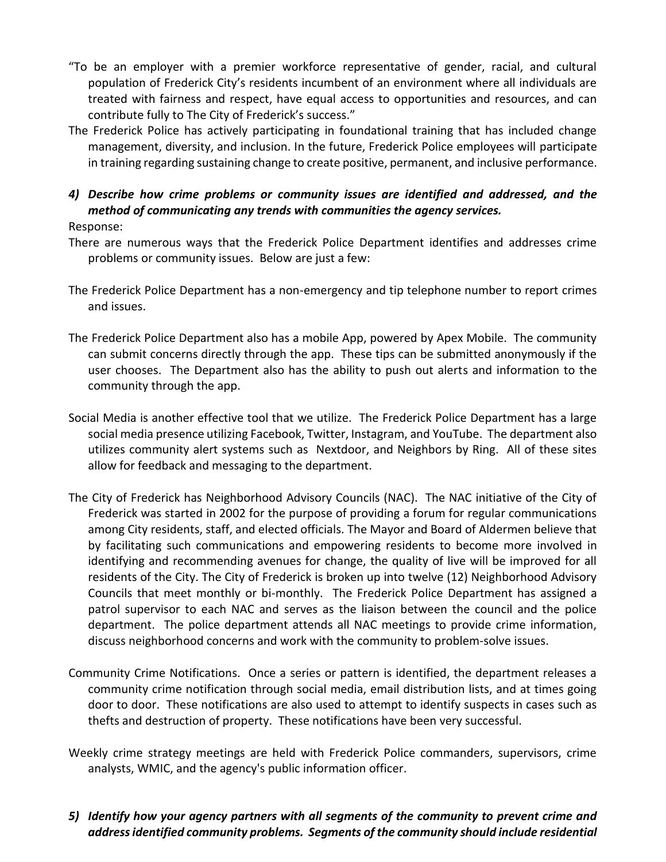- "To be an employer with a premier workforce representative of gender, racial, and cultural population of Frederick City's residents incumbent of an environment where all individuals are treated with fairness and respect, have equal access to opportunities and resources, and can contribute fully to The City of Frederick's success."
- The Frederick Police has actively participating in foundational training that has included change management, diversity, and inclusion. In the future, Frederick Police employees will participate in training regarding sustaining change to create positive, permanent, and inclusive performance.

# *4) Describe how crime problems or community issues are identified and addressed, and the method of communicating any trends with communities the agency services.*

## Response:

- There are numerous ways that the Frederick Police Department identifies and addresses crime problems or community issues. Below are just a few:
- The Frederick Police Department has a non-emergency and tip telephone number to report crimes and issues.
- The Frederick Police Department also has a mobile App, powered by Apex Mobile. The community can submit concerns directly through the app. These tips can be submitted anonymously if the user chooses. The Department also has the ability to push out alerts and information to the community through the app.
- Social Media is another effective tool that we utilize. The Frederick Police Department has a large social media presence utilizing Facebook, Twitter, Instagram, and YouTube. The department also utilizes community alert systems such as Nextdoor, and Neighbors by Ring. All of these sites allow for feedback and messaging to the department.
- The City of Frederick has Neighborhood Advisory Councils (NAC). The NAC initiative of the City of Frederick was started in 2002 for the purpose of providing a forum for regular communications among City residents, staff, and elected officials. The Mayor and Board of Aldermen believe that by facilitating such communications and empowering residents to become more involved in identifying and recommending avenues for change, the quality of live will be improved for all residents of the City. The City of Frederick is broken up into twelve (12) Neighborhood Advisory Councils that meet monthly or bi-monthly. The Frederick Police Department has assigned a patrol supervisor to each NAC and serves as the liaison between the council and the police department. The police department attends all NAC meetings to provide crime information, discuss neighborhood concerns and work with the community to problem-solve issues.
- Community Crime Notifications. Once a series or pattern is identified, the department releases a community crime notification through social media, email distribution lists, and at times going door to door. These notifications are also used to attempt to identify suspects in cases such as thefts and destruction of property. These notifications have been very successful.
- Weekly crime strategy meetings are held with Frederick Police commanders, supervisors, crime analysts, WMIC, and the agency's public information officer.

## *5) Identify how your agency partners with all segments of the community to prevent crime and address identified community problems. Segments of the community should include residential*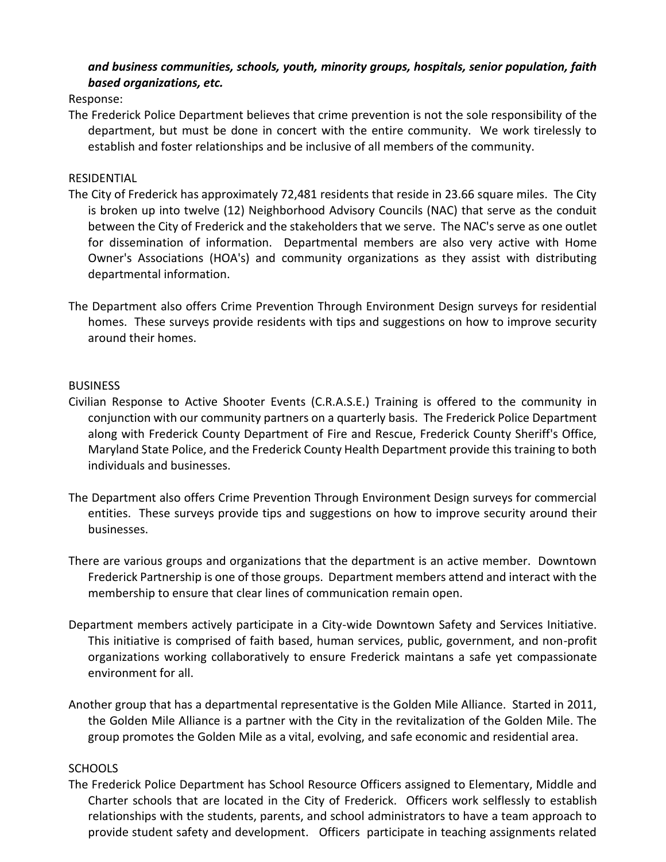## *and business communities, schools, youth, minority groups, hospitals, senior population, faith based organizations, etc.*

Response:

The Frederick Police Department believes that crime prevention is not the sole responsibility of the department, but must be done in concert with the entire community. We work tirelessly to establish and foster relationships and be inclusive of all members of the community.

#### RESIDENTIAL

- The City of Frederick has approximately 72,481 residents that reside in 23.66 square miles. The City is broken up into twelve (12) Neighborhood Advisory Councils (NAC) that serve as the conduit between the City of Frederick and the stakeholders that we serve. The NAC's serve as one outlet for dissemination of information. Departmental members are also very active with Home Owner's Associations (HOA's) and community organizations as they assist with distributing departmental information.
- The Department also offers Crime Prevention Through Environment Design surveys for residential homes. These surveys provide residents with tips and suggestions on how to improve security around their homes.

#### **BUSINESS**

- Civilian Response to Active Shooter Events (C.R.A.S.E.) Training is offered to the community in conjunction with our community partners on a quarterly basis. The Frederick Police Department along with Frederick County Department of Fire and Rescue, Frederick County Sheriff's Office, Maryland State Police, and the Frederick County Health Department provide this training to both individuals and businesses.
- The Department also offers Crime Prevention Through Environment Design surveys for commercial entities. These surveys provide tips and suggestions on how to improve security around their businesses.
- There are various groups and organizations that the department is an active member. Downtown Frederick Partnership is one of those groups. Department members attend and interact with the membership to ensure that clear lines of communication remain open.
- Department members actively participate in a City-wide Downtown Safety and Services Initiative. This initiative is comprised of faith based, human services, public, government, and non-profit organizations working collaboratively to ensure Frederick maintans a safe yet compassionate environment for all.
- Another group that has a departmental representative is the Golden Mile Alliance. Started in 2011, the Golden Mile Alliance is a partner with the City in the revitalization of the Golden Mile. The group promotes the Golden Mile as a vital, evolving, and safe economic and residential area.

#### **SCHOOLS**

The Frederick Police Department has School Resource Officers assigned to Elementary, Middle and Charter schools that are located in the City of Frederick. Officers work selflessly to establish relationships with the students, parents, and school administrators to have a team approach to provide student safety and development. Officers participate in teaching assignments related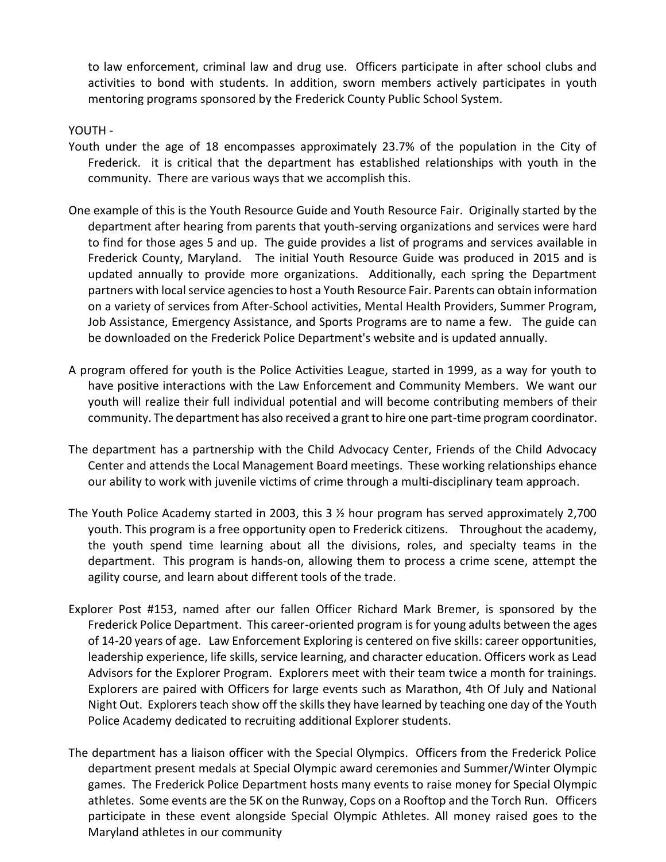to law enforcement, criminal law and drug use. Officers participate in after school clubs and activities to bond with students. In addition, sworn members actively participates in youth mentoring programs sponsored by the Frederick County Public School System.

#### YOUTH -

- Youth under the age of 18 encompasses approximately 23.7% of the population in the City of Frederick. it is critical that the department has established relationships with youth in the community. There are various ways that we accomplish this.
- One example of this is the Youth Resource Guide and Youth Resource Fair. Originally started by the department after hearing from parents that youth-serving organizations and services were hard to find for those ages 5 and up. The guide provides a list of programs and services available in Frederick County, Maryland. The initial Youth Resource Guide was produced in 2015 and is updated annually to provide more organizations. Additionally, each spring the Department partners with local service agencies to host a Youth Resource Fair. Parents can obtain information on a variety of services from After-School activities, Mental Health Providers, Summer Program, Job Assistance, Emergency Assistance, and Sports Programs are to name a few. The guide can be downloaded on the Frederick Police Department's website and is updated annually.
- A program offered for youth is the Police Activities League, started in 1999, as a way for youth to have positive interactions with the Law Enforcement and Community Members. We want our youth will realize their full individual potential and will become contributing members of their community. The department has also received a grant to hire one part-time program coordinator.
- The department has a partnership with the Child Advocacy Center, Friends of the Child Advocacy Center and attends the Local Management Board meetings. These working relationships ehance our ability to work with juvenile victims of crime through a multi-disciplinary team approach.
- The Youth Police Academy started in 2003, this 3 ½ hour program has served approximately 2,700 youth. This program is a free opportunity open to Frederick citizens. Throughout the academy, the youth spend time learning about all the divisions, roles, and specialty teams in the department. This program is hands-on, allowing them to process a crime scene, attempt the agility course, and learn about different tools of the trade.
- Explorer Post #153, named after our fallen Officer Richard Mark Bremer, is sponsored by the Frederick Police Department. This career-oriented program is for young adults between the ages of 14-20 years of age. Law Enforcement Exploring is centered on five skills: career opportunities, leadership experience, life skills, service learning, and character education. Officers work as Lead Advisors for the Explorer Program. Explorers meet with their team twice a month for trainings. Explorers are paired with Officers for large events such as Marathon, 4th Of July and National Night Out. Explorers teach show off the skills they have learned by teaching one day of the Youth Police Academy dedicated to recruiting additional Explorer students.
- The department has a liaison officer with the Special Olympics. Officers from the Frederick Police department present medals at Special Olympic award ceremonies and Summer/Winter Olympic games. The Frederick Police Department hosts many events to raise money for Special Olympic athletes. Some events are the 5K on the Runway, Cops on a Rooftop and the Torch Run. Officers participate in these event alongside Special Olympic Athletes. All money raised goes to the Maryland athletes in our community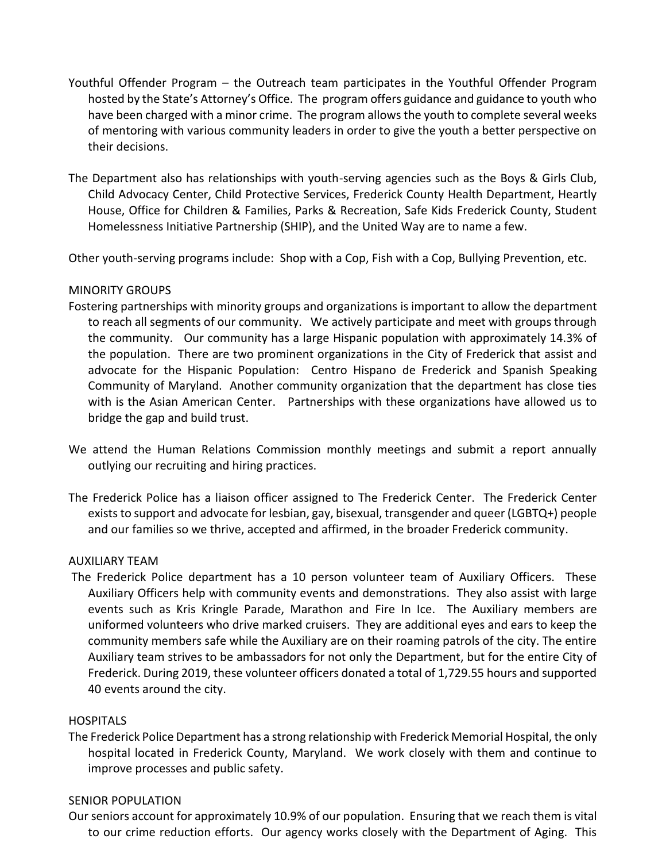- Youthful Offender Program the Outreach team participates in the Youthful Offender Program hosted by the State's Attorney's Office. The program offers guidance and guidance to youth who have been charged with a minor crime. The program allows the youth to complete several weeks of mentoring with various community leaders in order to give the youth a better perspective on their decisions.
- The Department also has relationships with youth-serving agencies such as the Boys & Girls Club, Child Advocacy Center, Child Protective Services, Frederick County Health Department, Heartly House, Office for Children & Families, Parks & Recreation, Safe Kids Frederick County, Student Homelessness Initiative Partnership (SHIP), and the United Way are to name a few.

Other youth-serving programs include: Shop with a Cop, Fish with a Cop, Bullying Prevention, etc.

### MINORITY GROUPS

- Fostering partnerships with minority groups and organizations is important to allow the department to reach all segments of our community. We actively participate and meet with groups through the community. Our community has a large Hispanic population with approximately 14.3% of the population. There are two prominent organizations in the City of Frederick that assist and advocate for the Hispanic Population: Centro Hispano de Frederick and Spanish Speaking Community of Maryland. Another community organization that the department has close ties with is the Asian American Center. Partnerships with these organizations have allowed us to bridge the gap and build trust.
- We attend the Human Relations Commission monthly meetings and submit a report annually outlying our recruiting and hiring practices.
- The Frederick Police has a liaison officer assigned to The Frederick Center. The Frederick Center exists to support and advocate for lesbian, gay, bisexual, transgender and queer (LGBTQ+) people and our families so we thrive, accepted and affirmed, in the broader Frederick community.

#### AUXILIARY TEAM

The Frederick Police department has a 10 person volunteer team of Auxiliary Officers. These Auxiliary Officers help with community events and demonstrations. They also assist with large events such as Kris Kringle Parade, Marathon and Fire In Ice. The Auxiliary members are uniformed volunteers who drive marked cruisers. They are additional eyes and ears to keep the community members safe while the Auxiliary are on their roaming patrols of the city. The entire Auxiliary team strives to be ambassadors for not only the Department, but for the entire City of Frederick. During 2019, these volunteer officers donated a total of 1,729.55 hours and supported 40 events around the city.

#### **HOSPITALS**

The Frederick Police Department has a strong relationship with Frederick Memorial Hospital, the only hospital located in Frederick County, Maryland. We work closely with them and continue to improve processes and public safety.

#### SENIOR POPULATION

Our seniors account for approximately 10.9% of our population. Ensuring that we reach them is vital to our crime reduction efforts. Our agency works closely with the Department of Aging. This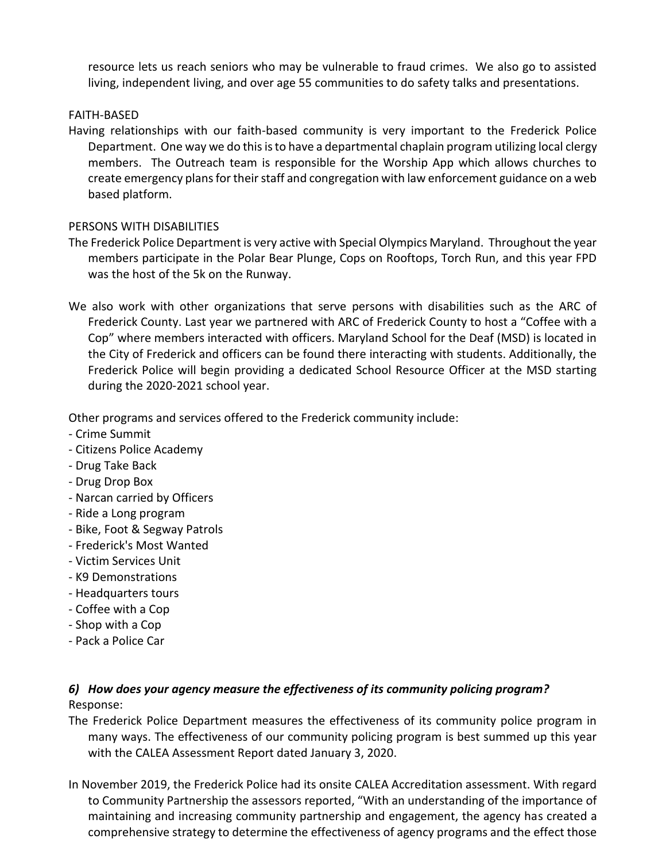resource lets us reach seniors who may be vulnerable to fraud crimes. We also go to assisted living, independent living, and over age 55 communities to do safety talks and presentations.

#### FAITH-BASED

Having relationships with our faith-based community is very important to the Frederick Police Department. One way we do this is to have a departmental chaplain program utilizing local clergy members. The Outreach team is responsible for the Worship App which allows churches to create emergency plans for their staff and congregation with law enforcement guidance on a web based platform.

#### PERSONS WITH DISABILITIES

- The Frederick Police Department is very active with Special Olympics Maryland. Throughout the year members participate in the Polar Bear Plunge, Cops on Rooftops, Torch Run, and this year FPD was the host of the 5k on the Runway.
- We also work with other organizations that serve persons with disabilities such as the ARC of Frederick County. Last year we partnered with ARC of Frederick County to host a "Coffee with a Cop" where members interacted with officers. Maryland School for the Deaf (MSD) is located in the City of Frederick and officers can be found there interacting with students. Additionally, the Frederick Police will begin providing a dedicated School Resource Officer at the MSD starting during the 2020-2021 school year.

Other programs and services offered to the Frederick community include:

- Crime Summit
- Citizens Police Academy
- Drug Take Back
- Drug Drop Box
- Narcan carried by Officers
- Ride a Long program
- Bike, Foot & Segway Patrols
- Frederick's Most Wanted
- Victim Services Unit
- K9 Demonstrations
- Headquarters tours
- Coffee with a Cop
- Shop with a Cop
- Pack a Police Car

## *6) How does your agency measure the effectiveness of its community policing program?* Response:

- The Frederick Police Department measures the effectiveness of its community police program in many ways. The effectiveness of our community policing program is best summed up this year with the CALEA Assessment Report dated January 3, 2020.
- In November 2019, the Frederick Police had its onsite CALEA Accreditation assessment. With regard to Community Partnership the assessors reported, "With an understanding of the importance of maintaining and increasing community partnership and engagement, the agency has created a comprehensive strategy to determine the effectiveness of agency programs and the effect those